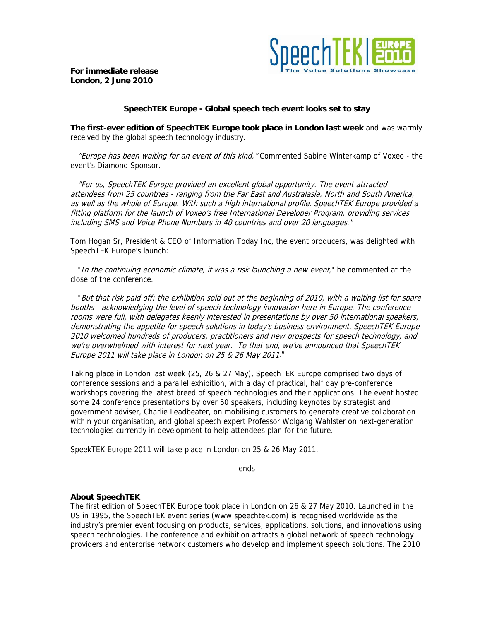

**For immediate release London, 2 June 2010** 

## **SpeechTEK Europe - Global speech tech event looks set to stay**

**The first-ever edition of SpeechTEK Europe took place in London last week** and was warmly received by the global speech technology industry.

 "Europe has been waiting for an event of this kind," Commented Sabine Winterkamp of Voxeo - the event's Diamond Sponsor.

 "For us, SpeechTEK Europe provided an excellent global opportunity. The event attracted attendees from 25 countries - ranging from the Far East and Australasia, North and South America, as well as the whole of Europe. With such a high international profile, SpeechTEK Europe provided a fitting platform for the launch of Voxeo's free International Developer Program, providing services including SMS and Voice Phone Numbers in 40 countries and over 20 languages."

Tom Hogan Sr, President & CEO of Information Today Inc, the event producers, was delighted with SpeechTEK Europe's launch:

"In the continuing economic climate, it was a risk launching a new event," he commented at the close of the conference.

 "But that risk paid off: the exhibition sold out at the beginning of 2010, with a waiting list for spare booths - acknowledging the level of speech technology innovation here in Europe. The conference rooms were full, with delegates keenly interested in presentations by over 50 international speakers, demonstrating the appetite for speech solutions in today's business environment. SpeechTEK Europe 2010 welcomed hundreds of producers, practitioners and new prospects for speech technology, and we're overwhelmed with interest for next year. To that end, we've announced that SpeechTEK Europe 2011 will take place in London on 25 & 26 May 2011."

Taking place in London last week (25, 26 & 27 May), SpeechTEK Europe comprised two days of conference sessions and a parallel exhibition, with a day of practical, half day pre-conference workshops covering the latest breed of speech technologies and their applications. The event hosted some 24 conference presentations by over 50 speakers, including keynotes by strategist and government adviser, Charlie Leadbeater, on mobilising customers to generate creative collaboration within your organisation, and global speech expert Professor Wolgang Wahlster on next-generation technologies currently in development to help attendees plan for the future.

SpeekTEK Europe 2011 will take place in London on 25 & 26 May 2011.

ends

## **About SpeechTEK**

The first edition of SpeechTEK Europe took place in London on 26 & 27 May 2010. Launched in the US in 1995, the SpeechTEK event series (www.speechtek.com) is recognised worldwide as the industry's premier event focusing on products, services, applications, solutions, and innovations using speech technologies. The conference and exhibition attracts a global network of speech technology providers and enterprise network customers who develop and implement speech solutions. The 2010